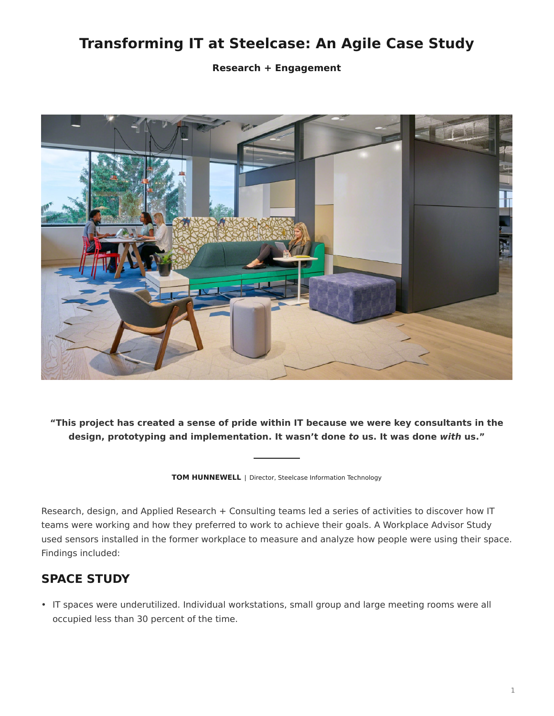## **Transforming IT at Steelcase: An Agile Case Study**

**Research + Engagement**



**"This project has created a sense of pride within IT because we were key consultants in the design, prototyping and implementation. It wasn't done** *to* **us. It was done** *with* **us."**

**TOM HUNNEWELL** | Director, Steelcase Information Technology

Research, design, and Applied Research + Consulting teams led a series of activities to discover how IT teams were working and how they preferred to work to achieve their goals. A Workplace Advisor Study used sensors installed in the former workplace to measure and analyze how people were using their space. Findings included:

## **SPACE STUDY**

• IT spaces were underutilized. Individual workstations, small group and large meeting rooms were all occupied less than 30 percent of the time.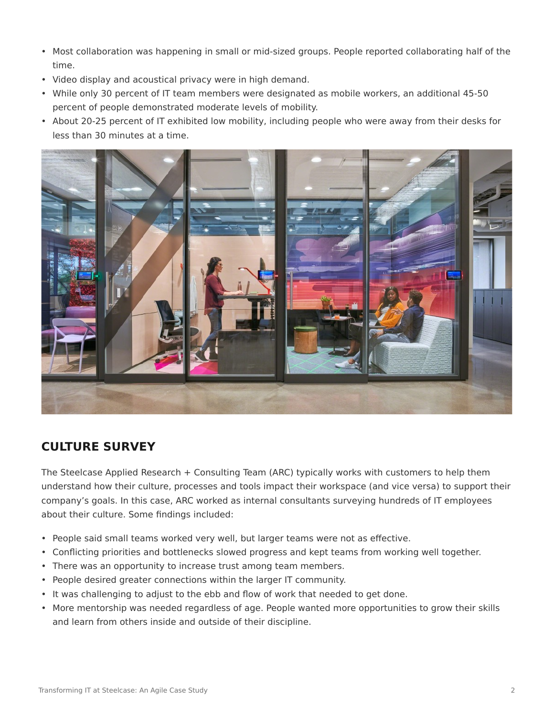- Most collaboration was happening in small or mid-sized groups. People reported collaborating half of the time.
- Video display and acoustical privacy were in high demand.
- While only 30 percent of IT team members were designated as mobile workers, an additional 45-50 percent of people demonstrated moderate levels of mobility.
- About 20-25 percent of IT exhibited low mobility, including people who were away from their desks for less than 30 minutes at a time.



## **CULTURE SURVEY**

The Steelcase Applied Research + Consulting Team (ARC) typically works with customers to help them understand how their culture, processes and tools impact their workspace (and vice versa) to support their company's goals. In this case, ARC worked as internal consultants surveying hundreds of IT employees about their culture. Some findings included:

- People said small teams worked very well, but larger teams were not as effective.
- Conflicting priorities and bottlenecks slowed progress and kept teams from working well together.
- There was an opportunity to increase trust among team members.
- People desired greater connections within the larger IT community.
- It was challenging to adjust to the ebb and flow of work that needed to get done.
- More mentorship was needed regardless of age. People wanted more opportunities to grow their skills and learn from others inside and outside of their discipline.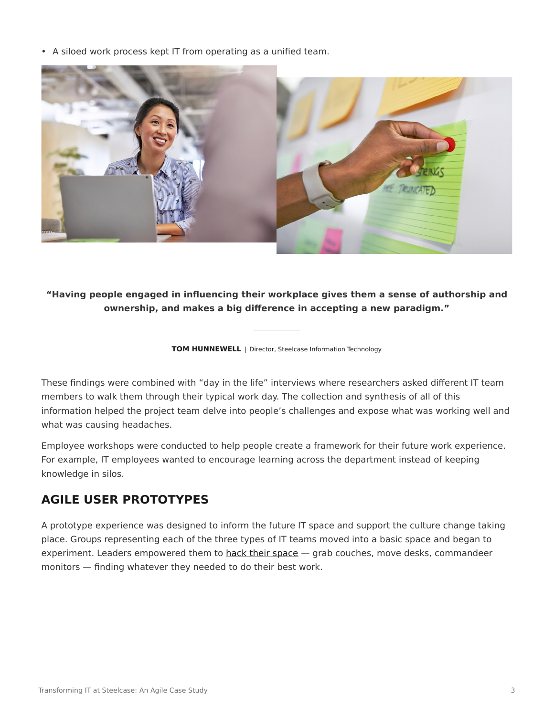• A siloed work process kept IT from operating as a unified team.



**"Having people engaged in influencing their workplace gives them a sense of authorship and ownership, and makes a big difference in accepting a new paradigm."**

**TOM HUNNEWELL** | Director, Steelcase Information Technology

These findings were combined with "day in the life" interviews where researchers asked different IT team members to walk them through their typical work day. The collection and synthesis of all of this information helped the project team delve into people's challenges and expose what was working well and what was causing headaches.

Employee workshops were conducted to help people create a framework for their future work experience. For example, IT employees wanted to encourage learning across the department instead of keeping knowledge in silos.

## **AGILE USER PROTOTYPES**

A prototype experience was designed to inform the future IT space and support the culture change taking place. Groups representing each of the three types of IT teams moved into a basic space and began to experiment. Leaders empowered them to [hack their space](https://www.steelcase.com/eu-en/research/articles/topics/agile/agile-hack-space/) - grab couches, move desks, commandeer monitors — finding whatever they needed to do their best work.